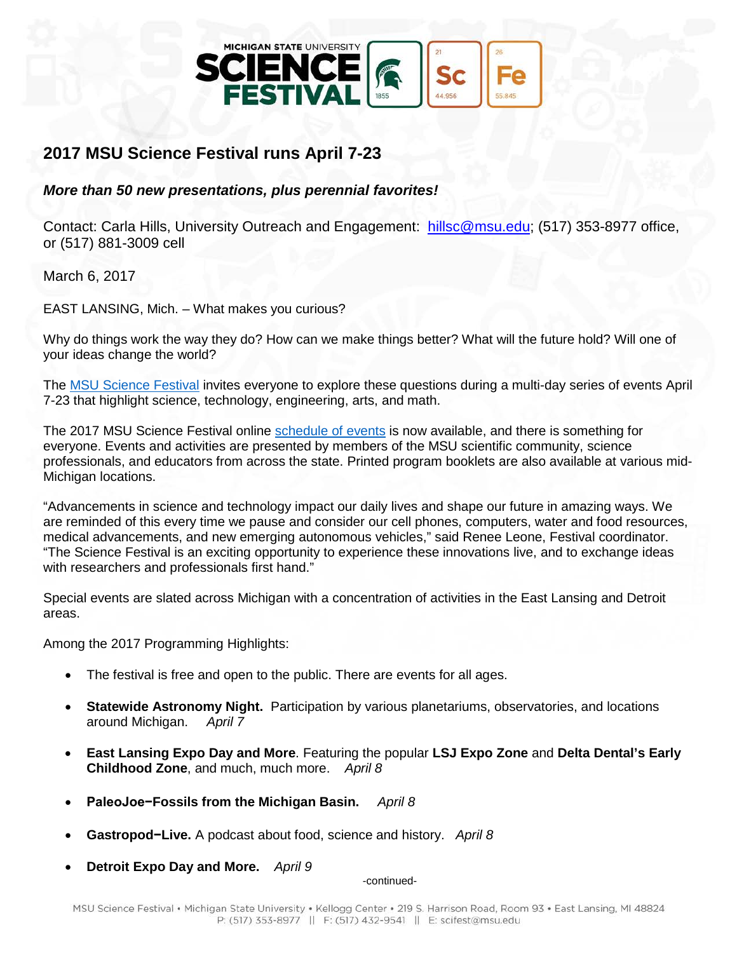

## **2017 MSU Science Festival runs April 7-23**

*More than 50 new presentations, plus perennial favorites!*

Contact: Carla Hills, University Outreach and Engagement: [hillsc@msu.edu;](mailto:hillsc@msu.edu) (517) 353-8977 office, or (517) 881-3009 cell

March 6, 2017

EAST LANSING, Mich. – What makes you curious?

Why do things work the way they do? How can we make things better? What will the future hold? Will one of your ideas change the world?

The [MSU Science Festival](http://sciencefestival.msu.edu/) invites everyone to explore these questions during a multi-day series of events April 7-23 that highlight science, technology, engineering, arts, and math.

The 2017 MSU Science Festival online [schedule of events](http://sciencefestival.msu.edu/Event/Schedule) is now available, and there is something for everyone. Events and activities are presented by members of the MSU scientific community, science professionals, and educators from across the state. Printed program booklets are also available at various mid-Michigan locations.

"Advancements in science and technology impact our daily lives and shape our future in amazing ways. We are reminded of this every time we pause and consider our cell phones, computers, water and food resources, medical advancements, and new emerging autonomous vehicles," said Renee Leone, Festival coordinator. "The Science Festival is an exciting opportunity to experience these innovations live, and to exchange ideas with researchers and professionals first hand."

Special events are slated across Michigan with a concentration of activities in the East Lansing and Detroit areas.

Among the 2017 Programming Highlights:

- The festival is free and open to the public. There are events for all ages.
- **Statewide Astronomy Night.** Participation by various planetariums, observatories, and locations around Michigan. April 7 around Michigan.
- **East Lansing Expo Day and More**. Featuring the popular **LSJ Expo Zone** and **Delta Dental's Early Childhood Zone**, and much, much more. *April 8*
- **PaleoJoe−Fossils from the Michigan Basin.** *April 8*
- **Gastropod−Live.** A podcast about food, science and history. *April 8*
- **Detroit Expo Day and More.** *April 9*

-continued-